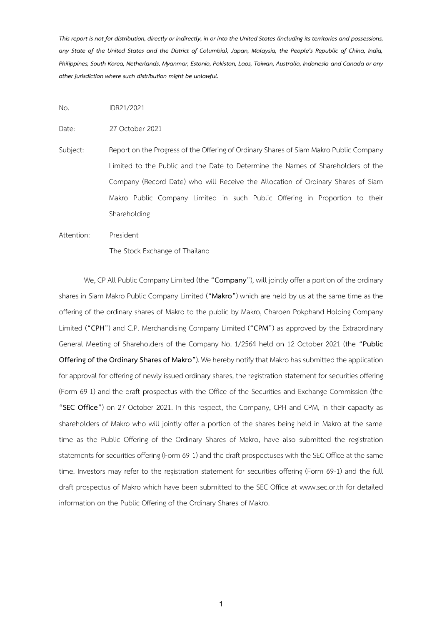*This report is not for distribution, directly or indirectly, in or into the United States (including its territories and possessions, any State of the United States and the District of Columbia), Japan, Malaysia, the People's Republic of China, India, Philippines, South Korea, Netherlands, Myanmar, Estonia, Pakistan, Laos, Taiwan, Australia, Indonesia and Canada or any other jurisdiction where such distribution might be unlawful.*

No. IDR21/2021

Date: 27 October 2021

Subject: Report on the Progress of the Offering of Ordinary Shares of Siam Makro Public Company Limited to the Public and the Date to Determine the Names of Shareholders of the Company (Record Date) who will Receive the Allocation of Ordinary Shares of Siam Makro Public Company Limited in such Public Offering in Proportion to their Shareholding

Attention: President

The Stock Exchange of Thailand

We, CP All Public Company Limited (the "**Company**"), will jointly offer a portion of the ordinary shares in Siam Makro Public Company Limited ("**Makro**") which are held by us at the same time as the offering of the ordinary shares of Makro to the public by Makro, Charoen Pokphand Holding Company Limited ("**CPH**") and C.P. Merchandising Company Limited ("**CPM**") as approved by the Extraordinary General Meeting of Shareholders of the Company No. 1/2564 held on 12 October 2021 (the "**Public Offering of the Ordinary Shares of Makro**"). We hereby notify that Makrohas submitted the application for approval for offering of newly issued ordinary shares, the registration statement for securities offering (Form 69-1) and the draft prospectus with the Office of the Securities and Exchange Commission (the "**SEC Office**") on 27 October 2021. In this respect, the Company, CPH and CPM, in their capacity as shareholders of Makro who will jointly offer a portion of the shares being held in Makro at the same time as the Public Offering of the Ordinary Shares of Makro, have also submitted the registration statements for securities offering (Form 69-1) and the draft prospectuses with the SEC Office at the same time. Investors may refer to the registration statement for securities offering (Form 69-1) and the full draft prospectus of Makro which have been submitted to the SEC Office at www.sec.or.th for detailed information on the Public Offering of the Ordinary Shares of Makro.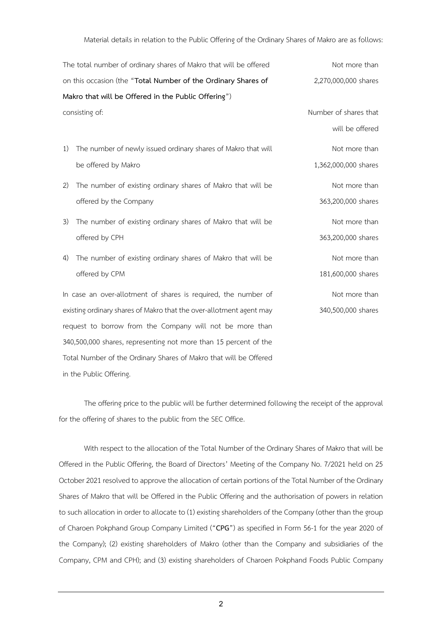Material details in relation to the Public Offering of the Ordinary Shares of Makro are as follows:

| The total number of ordinary shares of Makro that will be offered   |                                                                  | Not more than         |
|---------------------------------------------------------------------|------------------------------------------------------------------|-----------------------|
| on this occasion (the "Total Number of the Ordinary Shares of       |                                                                  | 2,270,000,000 shares  |
|                                                                     | Makro that will be Offered in the Public Offering")              |                       |
| consisting of:                                                      |                                                                  | Number of shares that |
|                                                                     |                                                                  | will be offered       |
| 1)                                                                  | The number of newly issued ordinary shares of Makro that will    | Not more than         |
|                                                                     | be offered by Makro                                              | 1,362,000,000 shares  |
| 2)                                                                  | The number of existing ordinary shares of Makro that will be     | Not more than         |
|                                                                     | offered by the Company                                           | 363,200,000 shares    |
| 3)                                                                  | The number of existing ordinary shares of Makro that will be     | Not more than         |
|                                                                     | offered by CPH                                                   | 363,200,000 shares    |
| $\left( 4\right)$                                                   | The number of existing ordinary shares of Makro that will be     | Not more than         |
|                                                                     | offered by CPM                                                   | 181,600,000 shares    |
|                                                                     | In case an over-allotment of shares is required, the number of   | Not more than         |
| existing ordinary shares of Makro that the over-allotment agent may |                                                                  | 340,500,000 shares    |
|                                                                     | request to borrow from the Company will not be more than         |                       |
|                                                                     | 340,500,000 shares, representing not more than 15 percent of the |                       |

in the Public Offering.

Total Number of the Ordinary Shares of Makro that will be Offered

The offering price to the public will be further determined following the receipt of the approval for the offering of shares to the public from the SEC Office.

With respect to the allocation of the Total Number of the Ordinary Shares of Makro that will be Offered in the Public Offering, the Board of Directors' Meeting of the Company No. 7/2021 held on 25 October 2021 resolved to approve the allocation of certain portions of the Total Number of the Ordinary Shares of Makro that will be Offered in the Public Offering and the authorisation of powers in relation to such allocation in order to allocate to (1) existing shareholders of the Company (other than the group of Charoen Pokphand Group Company Limited ("**CPG**") as specified in Form 56-1 for the year 2020 of the Company); (2) existing shareholders of Makro (other than the Company and subsidiaries of the Company, CPM and CPH); and (3) existing shareholders of Charoen Pokphand Foods Public Company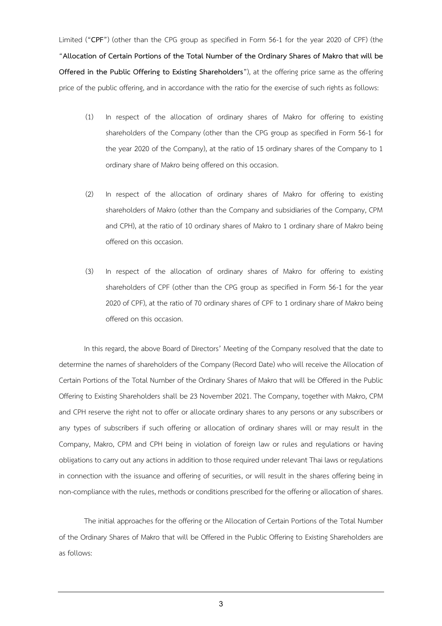Limited ("**CPF**") (other than the CPG group as specified in Form 56-1 for the year 2020 of CPF) (the "**Allocation of Certain Portions of the Total Number of the Ordinary Shares of Makro that will be Offered in the Public Offering to Existing Shareholders**"), at the offering price same as the offering price of the public offering, and in accordance with the ratio for the exercise of such rights as follows:

- (1) In respect of the allocation of ordinary shares of Makro for offering to existing shareholders of the Company (other than the CPG group as specified in Form 56-1 for the year 2020 of the Company), at the ratio of 15 ordinary shares of the Company to 1 ordinary share of Makro being offered on this occasion.
- (2) In respect of the allocation of ordinary shares of Makro for offering to existing shareholders of Makro (other than the Company and subsidiaries of the Company, CPM and CPH), at the ratio of 10 ordinary shares of Makro to 1 ordinary share of Makro being offered on this occasion.
- (3) In respect of the allocation of ordinary shares of Makro for offering to existing shareholders of CPF (other than the CPG group as specified in Form 56-1 for the year 2020 of CPF), at the ratio of 70 ordinary shares of CPF to 1 ordinary share of Makro being offered on this occasion.

In this regard, the above Board of Directors' Meeting of the Company resolved that the date to determine the names of shareholders of the Company (Record Date) who will receive the Allocation of Certain Portions of the Total Number of the Ordinary Shares of Makro that will be Offered in the Public Offering to Existing Shareholders shall be 23 November 2021. The Company, together with Makro, CPM and CPH reserve the right not to offer or allocate ordinary shares to any persons or any subscribers or any types of subscribers if such offering or allocation of ordinary shares will or may result in the Company, Makro, CPM and CPH being in violation of foreign law or rules and regulations or having obligations to carry out any actions in addition to those required under relevant Thai laws or regulations in connection with the issuance and offering of securities, or will result in the shares offering being in non-compliance with the rules, methods or conditions prescribed for the offering or allocation of shares.

The initial approaches for the offering or the Allocation of Certain Portions of the Total Number of the Ordinary Shares of Makro that will be Offered in the Public Offering to Existing Shareholders are as follows: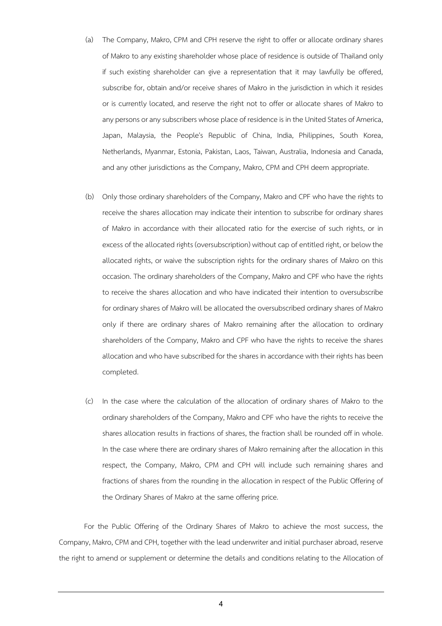- (a) The Company, Makro, CPM and CPH reserve the right to offer or allocate ordinary shares of Makro to any existing shareholder whose place of residence is outside of Thailand only if such existing shareholder can give a representation that it may lawfully be offered, subscribe for, obtain and/or receive shares of Makro in the jurisdiction in which it resides or is currently located, and reserve the right not to offer or allocate shares of Makro to any persons or any subscribers whose place of residence is in the United States of America, Japan, Malaysia, the People's Republic of China, India, Philippines, South Korea, Netherlands, Myanmar, Estonia, Pakistan, Laos, Taiwan, Australia, Indonesia and Canada, and any other jurisdictions as the Company, Makro, CPM and CPH deem appropriate.
- (b) Only those ordinary shareholders of the Company, Makro and CPF who have the rights to receive the shares allocation may indicate their intention to subscribe for ordinary shares of Makro in accordance with their allocated ratio for the exercise of such rights, or in excess of the allocated rights (oversubscription) without cap of entitled right, or below the allocated rights, or waive the subscription rights for the ordinary shares of Makro on this occasion. The ordinary shareholders of the Company, Makro and CPF who have the rights to receive the shares allocation and who have indicated their intention to oversubscribe for ordinary shares of Makro will be allocated the oversubscribed ordinary shares of Makro only if there are ordinary shares of Makro remaining after the allocation to ordinary shareholders of the Company, Makro and CPF who have the rights to receive the shares allocation and who have subscribed for the shares in accordance with their rights has been completed.
- (c) In the case where the calculation of the allocation of ordinary shares of Makro to the ordinary shareholders of the Company, Makro and CPF who have the rights to receive the shares allocation results in fractions of shares, the fraction shall be rounded off in whole. In the case where there are ordinary shares of Makro remaining after the allocation in this respect, the Company, Makro, CPM and CPH will include such remaining shares and fractions of shares from the rounding in the allocation in respect of the Public Offering of the Ordinary Shares of Makro at the same offering price.

For the Public Offering of the Ordinary Shares of Makro to achieve the most success, the Company, Makro, CPM and CPH, together with the lead underwriter and initial purchaser abroad, reserve the right to amend or supplement or determine the details and conditions relating to the Allocation of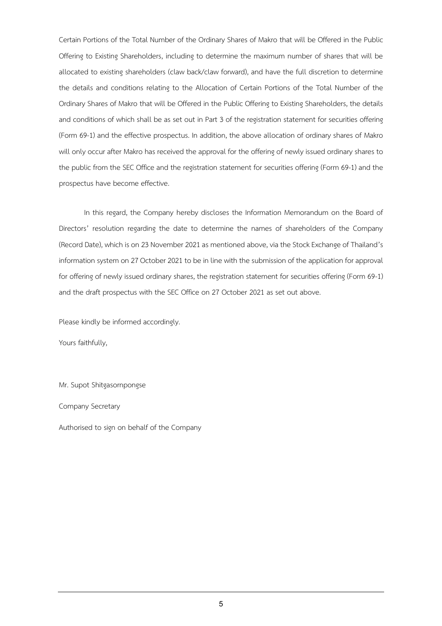Certain Portions of the Total Number of the Ordinary Shares of Makro that will be Offered in the Public Offering to Existing Shareholders, including to determine the maximum number of shares that will be allocated to existing shareholders (claw back/claw forward), and have the full discretion to determine the details and conditions relating to the Allocation of Certain Portions of the Total Number of the Ordinary Shares of Makro that will be Offered in the Public Offering to Existing Shareholders, the details and conditions of which shall be as set out in Part 3 of the registration statement for securities offering (Form 69-1) and the effective prospectus. In addition, the above allocation of ordinary shares of Makro will only occur after Makro has received the approval for the offering of newly issued ordinary shares to the public from the SEC Office and the registration statement for securities offering (Form 69-1) and the prospectus have become effective.

In this regard, the Company hereby discloses the Information Memorandum on the Board of Directors' resolution regarding the date to determine the names of shareholders of the Company (Record Date), which is on 23 November 2021 as mentioned above, via the Stock Exchange of Thailand's information system on 27 October 2021 to be in line with the submission of the application for approval for offering of newly issued ordinary shares, the registration statement for securities offering (Form 69-1) and the draft prospectus with the SEC Office on 27 October 2021 as set out above.

Please kindly be informed accordingly.

Yours faithfully,

Mr. Supot Shitgasornpongse

Company Secretary

Authorised to sign on behalf of the Company